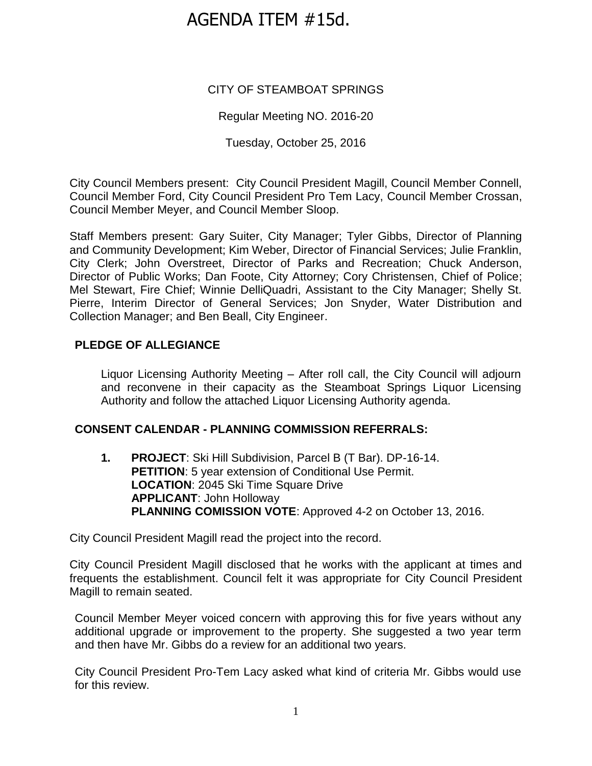# AGENDA ITEM #15d.

# CITY OF STEAMBOAT SPRINGS

# Regular Meeting NO. 2016-20

Tuesday, October 25, 2016

City Council Members present: City Council President Magill, Council Member Connell, Council Member Ford, City Council President Pro Tem Lacy, Council Member Crossan, Council Member Meyer, and Council Member Sloop.

Staff Members present: Gary Suiter, City Manager; Tyler Gibbs, Director of Planning and Community Development; Kim Weber, Director of Financial Services; Julie Franklin, City Clerk; John Overstreet, Director of Parks and Recreation; Chuck Anderson, Director of Public Works; Dan Foote, City Attorney; Cory Christensen, Chief of Police; Mel Stewart, Fire Chief; Winnie DelliQuadri, Assistant to the City Manager; Shelly St. Pierre, Interim Director of General Services; Jon Snyder, Water Distribution and Collection Manager; and Ben Beall, City Engineer.

# **PLEDGE OF ALLEGIANCE**

Liquor Licensing Authority Meeting – After roll call, the City Council will adjourn and reconvene in their capacity as the Steamboat Springs Liquor Licensing Authority and follow the attached Liquor Licensing Authority agenda.

## **CONSENT CALENDAR - PLANNING COMMISSION REFERRALS:**

**1. PROJECT**: Ski Hill Subdivision, Parcel B (T Bar). DP-16-14. **PETITION:** 5 year extension of Conditional Use Permit. **LOCATION: 2045 Ski Time Square Drive APPLICANT**: John Holloway **PLANNING COMISSION VOTE**: Approved 4-2 on October 13, 2016.

City Council President Magill read the project into the record.

City Council President Magill disclosed that he works with the applicant at times and frequents the establishment. Council felt it was appropriate for City Council President Magill to remain seated.

Council Member Meyer voiced concern with approving this for five years without any additional upgrade or improvement to the property. She suggested a two year term and then have Mr. Gibbs do a review for an additional two years.

City Council President Pro-Tem Lacy asked what kind of criteria Mr. Gibbs would use for this review.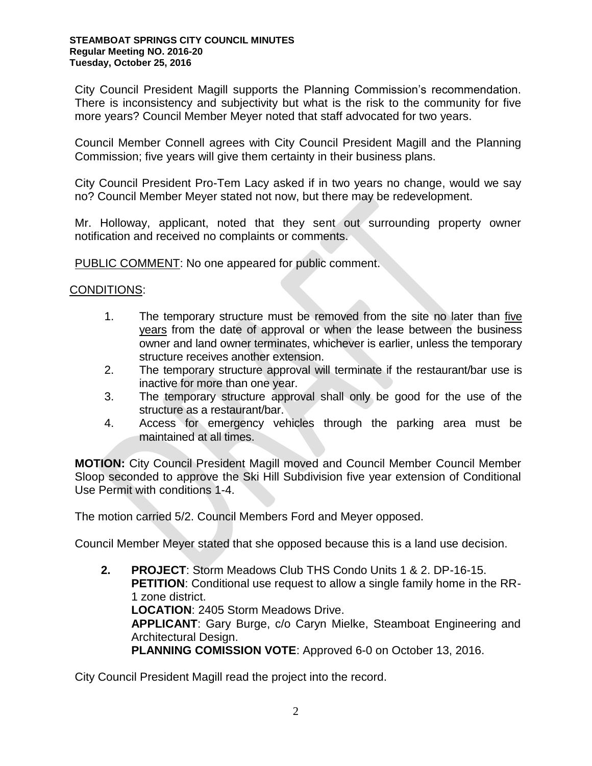City Council President Magill supports the Planning Commission's recommendation. There is inconsistency and subjectivity but what is the risk to the community for five more years? Council Member Meyer noted that staff advocated for two years.

Council Member Connell agrees with City Council President Magill and the Planning Commission; five years will give them certainty in their business plans.

City Council President Pro-Tem Lacy asked if in two years no change, would we say no? Council Member Meyer stated not now, but there may be redevelopment.

Mr. Holloway, applicant, noted that they sent out surrounding property owner notification and received no complaints or comments.

PUBLIC COMMENT: No one appeared for public comment.

#### CONDITIONS:

- 1. The temporary structure must be removed from the site no later than five years from the date of approval or when the lease between the business owner and land owner terminates, whichever is earlier, unless the temporary structure receives another extension.
- 2. The temporary structure approval will terminate if the restaurant/bar use is inactive for more than one year.
- 3. The temporary structure approval shall only be good for the use of the structure as a restaurant/bar.
- 4. Access for emergency vehicles through the parking area must be maintained at all times.

**MOTION:** City Council President Magill moved and Council Member Council Member Sloop seconded to approve the Ski Hill Subdivision five year extension of Conditional Use Permit with conditions 1-4.

The motion carried 5/2. Council Members Ford and Meyer opposed.

Council Member Meyer stated that she opposed because this is a land use decision.

**2. PROJECT**: Storm Meadows Club THS Condo Units 1 & 2. DP-16-15. **PETITION**: Conditional use request to allow a single family home in the RR-1 zone district. **LOCATION**: 2405 Storm Meadows Drive. **APPLICANT**: Gary Burge, c/o Caryn Mielke, Steamboat Engineering and Architectural Design. **PLANNING COMISSION VOTE**: Approved 6-0 on October 13, 2016.

City Council President Magill read the project into the record.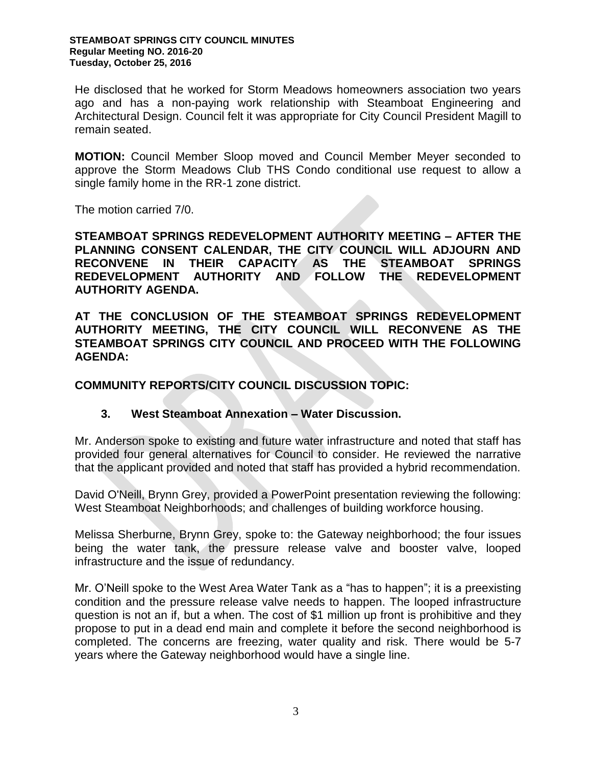He disclosed that he worked for Storm Meadows homeowners association two years ago and has a non-paying work relationship with Steamboat Engineering and Architectural Design. Council felt it was appropriate for City Council President Magill to remain seated.

**MOTION:** Council Member Sloop moved and Council Member Meyer seconded to approve the Storm Meadows Club THS Condo conditional use request to allow a single family home in the RR-1 zone district.

The motion carried 7/0.

**STEAMBOAT SPRINGS REDEVELOPMENT AUTHORITY MEETING – AFTER THE PLANNING CONSENT CALENDAR, THE CITY COUNCIL WILL ADJOURN AND RECONVENE IN THEIR CAPACITY AS THE STEAMBOAT SPRINGS REDEVELOPMENT AUTHORITY AND FOLLOW THE REDEVELOPMENT AUTHORITY AGENDA.**

**AT THE CONCLUSION OF THE STEAMBOAT SPRINGS REDEVELOPMENT AUTHORITY MEETING, THE CITY COUNCIL WILL RECONVENE AS THE STEAMBOAT SPRINGS CITY COUNCIL AND PROCEED WITH THE FOLLOWING AGENDA:** 

**COMMUNITY REPORTS/CITY COUNCIL DISCUSSION TOPIC:** 

## **3. West Steamboat Annexation – Water Discussion.**

Mr. Anderson spoke to existing and future water infrastructure and noted that staff has provided four general alternatives for Council to consider. He reviewed the narrative that the applicant provided and noted that staff has provided a hybrid recommendation.

David O'Neill, Brynn Grey, provided a PowerPoint presentation reviewing the following: West Steamboat Neighborhoods; and challenges of building workforce housing.

Melissa Sherburne, Brynn Grey, spoke to: the Gateway neighborhood; the four issues being the water tank, the pressure release valve and booster valve, looped infrastructure and the issue of redundancy.

Mr. O'Neill spoke to the West Area Water Tank as a "has to happen"; it is a preexisting condition and the pressure release valve needs to happen. The looped infrastructure question is not an if, but a when. The cost of \$1 million up front is prohibitive and they propose to put in a dead end main and complete it before the second neighborhood is completed. The concerns are freezing, water quality and risk. There would be 5-7 years where the Gateway neighborhood would have a single line.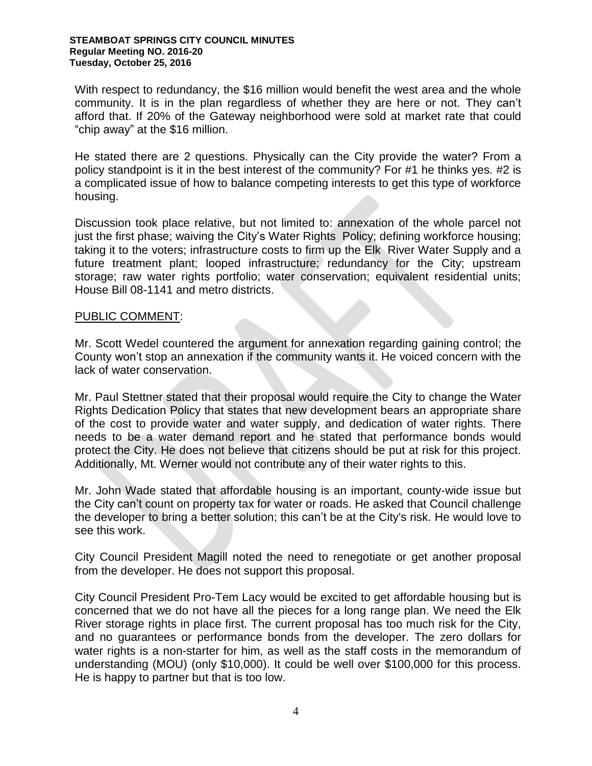#### **STEAMBOAT SPRINGS CITY COUNCIL MINUTES Regular Meeting NO. 2016-20 Tuesday, October 25, 2016**

With respect to redundancy, the \$16 million would benefit the west area and the whole community. It is in the plan regardless of whether they are here or not. They can't afford that. If 20% of the Gateway neighborhood were sold at market rate that could "chip away" at the \$16 million.

He stated there are 2 questions. Physically can the City provide the water? From a policy standpoint is it in the best interest of the community? For #1 he thinks yes. #2 is a complicated issue of how to balance competing interests to get this type of workforce housing.

Discussion took place relative, but not limited to: annexation of the whole parcel not just the first phase; waiving the City's Water Rights Policy; defining workforce housing; taking it to the voters; infrastructure costs to firm up the Elk River Water Supply and a future treatment plant; looped infrastructure; redundancy for the City; upstream storage; raw water rights portfolio; water conservation; equivalent residential units; House Bill 08-1141 and metro districts.

#### PUBLIC COMMENT:

Mr. Scott Wedel countered the argument for annexation regarding gaining control; the County won't stop an annexation if the community wants it. He voiced concern with the lack of water conservation.

Mr. Paul Stettner stated that their proposal would require the City to change the Water Rights Dedication Policy that states that new development bears an appropriate share of the cost to provide water and water supply, and dedication of water rights. There needs to be a water demand report and he stated that performance bonds would protect the City. He does not believe that citizens should be put at risk for this project. Additionally, Mt. Werner would not contribute any of their water rights to this.

Mr. John Wade stated that affordable housing is an important, county-wide issue but the City can't count on property tax for water or roads. He asked that Council challenge the developer to bring a better solution; this can't be at the City's risk. He would love to see this work.

City Council President Magill noted the need to renegotiate or get another proposal from the developer. He does not support this proposal.

City Council President Pro-Tem Lacy would be excited to get affordable housing but is concerned that we do not have all the pieces for a long range plan. We need the Elk River storage rights in place first. The current proposal has too much risk for the City, and no guarantees or performance bonds from the developer. The zero dollars for water rights is a non-starter for him, as well as the staff costs in the memorandum of understanding (MOU) (only \$10,000). It could be well over \$100,000 for this process. He is happy to partner but that is too low.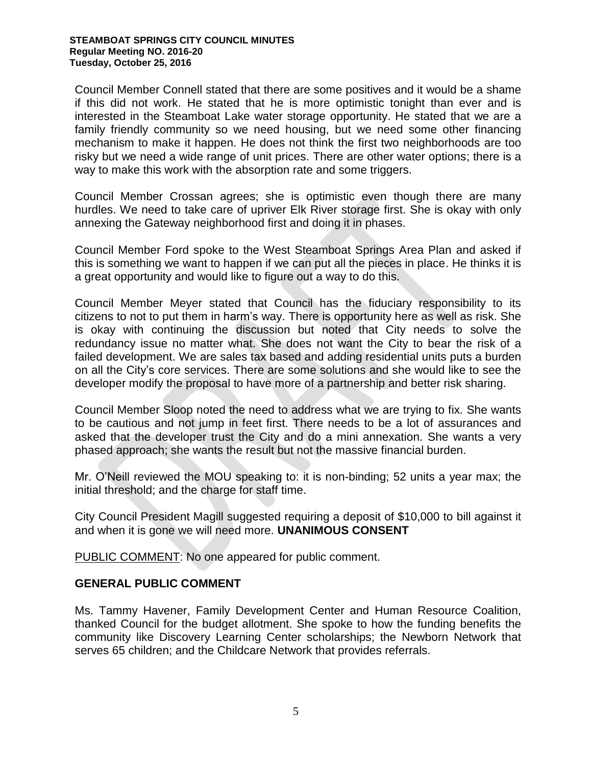Council Member Connell stated that there are some positives and it would be a shame if this did not work. He stated that he is more optimistic tonight than ever and is interested in the Steamboat Lake water storage opportunity. He stated that we are a family friendly community so we need housing, but we need some other financing mechanism to make it happen. He does not think the first two neighborhoods are too risky but we need a wide range of unit prices. There are other water options; there is a way to make this work with the absorption rate and some triggers.

Council Member Crossan agrees; she is optimistic even though there are many hurdles. We need to take care of upriver Elk River storage first. She is okay with only annexing the Gateway neighborhood first and doing it in phases.

Council Member Ford spoke to the West Steamboat Springs Area Plan and asked if this is something we want to happen if we can put all the pieces in place. He thinks it is a great opportunity and would like to figure out a way to do this.

Council Member Meyer stated that Council has the fiduciary responsibility to its citizens to not to put them in harm's way. There is opportunity here as well as risk. She is okay with continuing the discussion but noted that City needs to solve the redundancy issue no matter what. She does not want the City to bear the risk of a failed development. We are sales tax based and adding residential units puts a burden on all the City's core services. There are some solutions and she would like to see the developer modify the proposal to have more of a partnership and better risk sharing.

Council Member Sloop noted the need to address what we are trying to fix. She wants to be cautious and not jump in feet first. There needs to be a lot of assurances and asked that the developer trust the City and do a mini annexation. She wants a very phased approach; she wants the result but not the massive financial burden.

Mr. O'Neill reviewed the MOU speaking to: it is non-binding; 52 units a year max; the initial threshold; and the charge for staff time.

City Council President Magill suggested requiring a deposit of \$10,000 to bill against it and when it is gone we will need more. **UNANIMOUS CONSENT**

PUBLIC COMMENT: No one appeared for public comment.

#### **GENERAL PUBLIC COMMENT**

Ms. Tammy Havener, Family Development Center and Human Resource Coalition, thanked Council for the budget allotment. She spoke to how the funding benefits the community like Discovery Learning Center scholarships; the Newborn Network that serves 65 children; and the Childcare Network that provides referrals.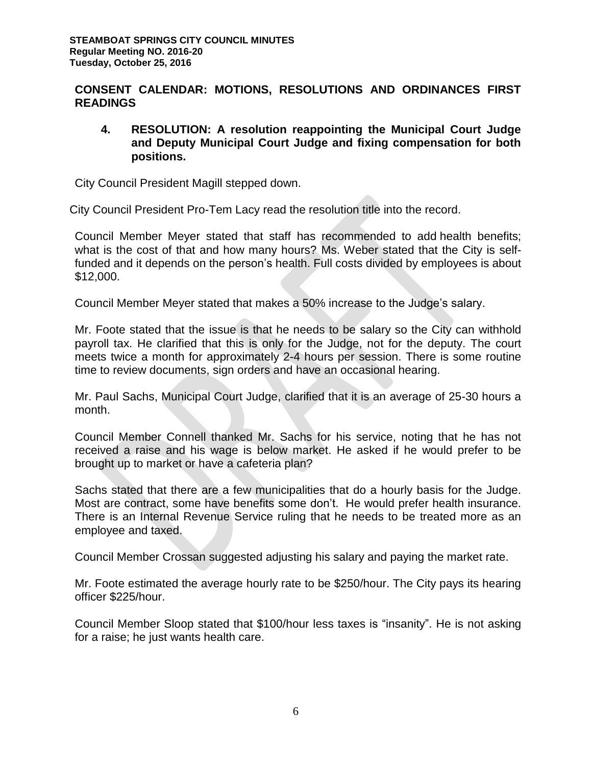# **CONSENT CALENDAR: MOTIONS, RESOLUTIONS AND ORDINANCES FIRST READINGS**

**4. RESOLUTION: A resolution reappointing the Municipal Court Judge and Deputy Municipal Court Judge and fixing compensation for both positions.** 

City Council President Magill stepped down.

City Council President Pro-Tem Lacy read the resolution title into the record.

Council Member Meyer stated that staff has recommended to add health benefits; what is the cost of that and how many hours? Ms. Weber stated that the City is selffunded and it depends on the person's health. Full costs divided by employees is about \$12,000.

Council Member Meyer stated that makes a 50% increase to the Judge's salary.

Mr. Foote stated that the issue is that he needs to be salary so the City can withhold payroll tax. He clarified that this is only for the Judge, not for the deputy. The court meets twice a month for approximately 2-4 hours per session. There is some routine time to review documents, sign orders and have an occasional hearing.

Mr. Paul Sachs, Municipal Court Judge, clarified that it is an average of 25-30 hours a month.

Council Member Connell thanked Mr. Sachs for his service, noting that he has not received a raise and his wage is below market. He asked if he would prefer to be brought up to market or have a cafeteria plan?

Sachs stated that there are a few municipalities that do a hourly basis for the Judge. Most are contract, some have benefits some don't. He would prefer health insurance. There is an Internal Revenue Service ruling that he needs to be treated more as an employee and taxed.

Council Member Crossan suggested adjusting his salary and paying the market rate.

Mr. Foote estimated the average hourly rate to be \$250/hour. The City pays its hearing officer \$225/hour.

Council Member Sloop stated that \$100/hour less taxes is "insanity". He is not asking for a raise; he just wants health care.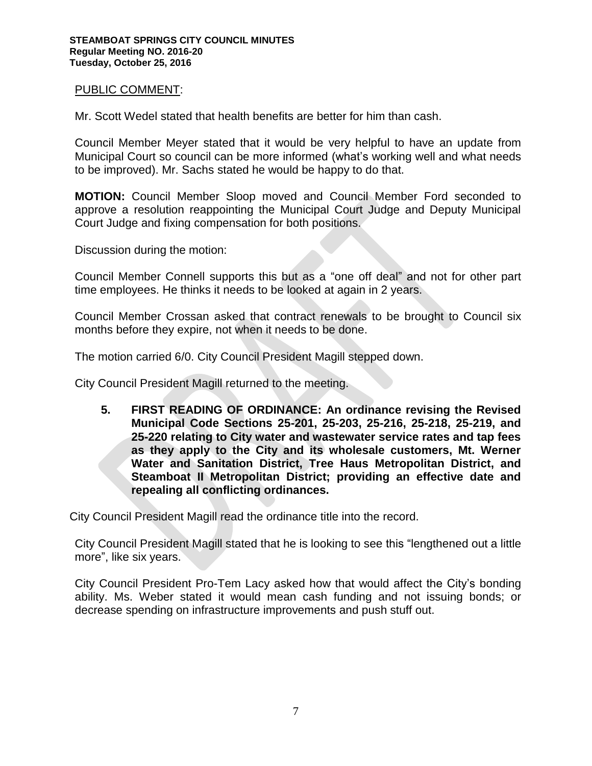#### PUBLIC COMMENT:

Mr. Scott Wedel stated that health benefits are better for him than cash.

Council Member Meyer stated that it would be very helpful to have an update from Municipal Court so council can be more informed (what's working well and what needs to be improved). Mr. Sachs stated he would be happy to do that.

**MOTION:** Council Member Sloop moved and Council Member Ford seconded to approve a resolution reappointing the Municipal Court Judge and Deputy Municipal Court Judge and fixing compensation for both positions.

Discussion during the motion:

Council Member Connell supports this but as a "one off deal" and not for other part time employees. He thinks it needs to be looked at again in 2 years.

Council Member Crossan asked that contract renewals to be brought to Council six months before they expire, not when it needs to be done.

The motion carried 6/0. City Council President Magill stepped down.

City Council President Magill returned to the meeting.

**5. FIRST READING OF ORDINANCE: An ordinance revising the Revised Municipal Code Sections 25-201, 25-203, 25-216, 25-218, 25-219, and 25-220 relating to City water and wastewater service rates and tap fees as they apply to the City and its wholesale customers, Mt. Werner Water and Sanitation District, Tree Haus Metropolitan District, and Steamboat II Metropolitan District; providing an effective date and repealing all conflicting ordinances.** 

City Council President Magill read the ordinance title into the record.

City Council President Magill stated that he is looking to see this "lengthened out a little more", like six years.

City Council President Pro-Tem Lacy asked how that would affect the City's bonding ability. Ms. Weber stated it would mean cash funding and not issuing bonds; or decrease spending on infrastructure improvements and push stuff out.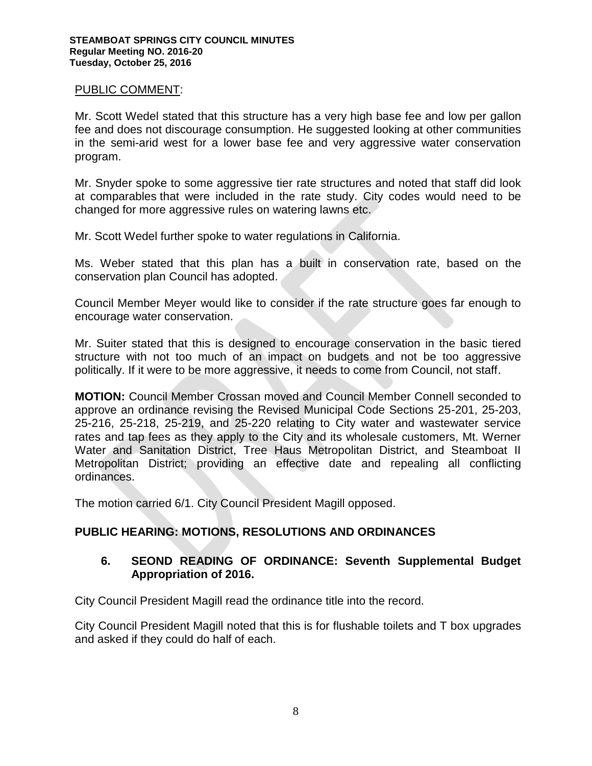## PUBLIC COMMENT:

Mr. Scott Wedel stated that this structure has a very high base fee and low per gallon fee and does not discourage consumption. He suggested looking at other communities in the semi-arid west for a lower base fee and very aggressive water conservation program.

Mr. Snyder spoke to some aggressive tier rate structures and noted that staff did look at comparables that were included in the rate study. City codes would need to be changed for more aggressive rules on watering lawns etc.

Mr. Scott Wedel further spoke to water regulations in California.

Ms. Weber stated that this plan has a built in conservation rate, based on the conservation plan Council has adopted.

Council Member Meyer would like to consider if the rate structure goes far enough to encourage water conservation.

Mr. Suiter stated that this is designed to encourage conservation in the basic tiered structure with not too much of an impact on budgets and not be too aggressive politically. If it were to be more aggressive, it needs to come from Council, not staff.

**MOTION:** Council Member Crossan moved and Council Member Connell seconded to approve an ordinance revising the Revised Municipal Code Sections 25-201, 25-203, 25-216, 25-218, 25-219, and 25-220 relating to City water and wastewater service rates and tap fees as they apply to the City and its wholesale customers, Mt. Werner Water and Sanitation District, Tree Haus Metropolitan District, and Steamboat II Metropolitan District; providing an effective date and repealing all conflicting ordinances.

The motion carried 6/1. City Council President Magill opposed.

# **PUBLIC HEARING: MOTIONS, RESOLUTIONS AND ORDINANCES**

## **6. SEOND READING OF ORDINANCE: Seventh Supplemental Budget Appropriation of 2016.**

City Council President Magill read the ordinance title into the record.

City Council President Magill noted that this is for flushable toilets and T box upgrades and asked if they could do half of each.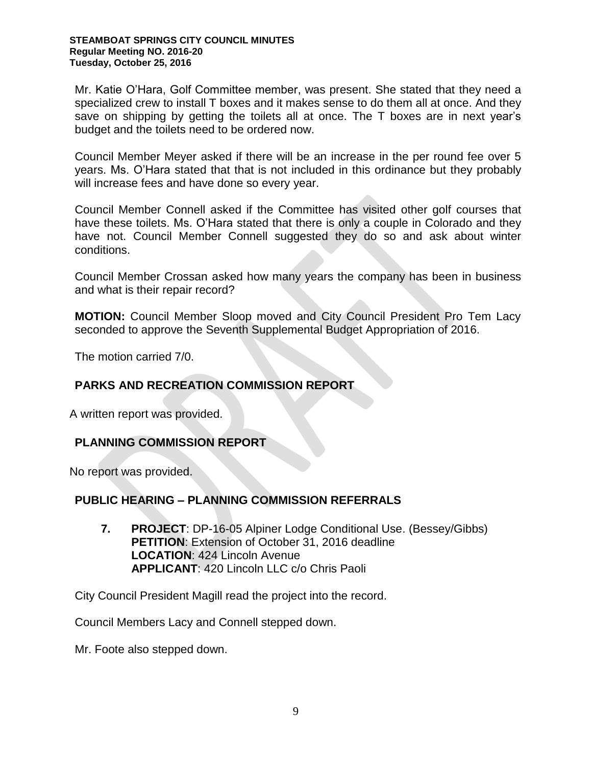Mr. Katie O'Hara, Golf Committee member, was present. She stated that they need a specialized crew to install T boxes and it makes sense to do them all at once. And they save on shipping by getting the toilets all at once. The T boxes are in next year's budget and the toilets need to be ordered now.

Council Member Meyer asked if there will be an increase in the per round fee over 5 years. Ms. O'Hara stated that that is not included in this ordinance but they probably will increase fees and have done so every year.

Council Member Connell asked if the Committee has visited other golf courses that have these toilets. Ms. O'Hara stated that there is only a couple in Colorado and they have not. Council Member Connell suggested they do so and ask about winter conditions.

Council Member Crossan asked how many years the company has been in business and what is their repair record?

**MOTION:** Council Member Sloop moved and City Council President Pro Tem Lacy seconded to approve the Seventh Supplemental Budget Appropriation of 2016.

The motion carried 7/0.

# **PARKS AND RECREATION COMMISSION REPORT**

A written report was provided.

# **PLANNING COMMISSION REPORT**

No report was provided.

## **PUBLIC HEARING – PLANNING COMMISSION REFERRALS**

**7. PROJECT**: DP-16-05 Alpiner Lodge Conditional Use. (Bessey/Gibbs) **PETITION**: Extension of October 31, 2016 deadline LOCATION: 424 Lincoln Avenue **APPLICANT**: 420 Lincoln LLC c/o Chris Paoli

City Council President Magill read the project into the record.

Council Members Lacy and Connell stepped down.

Mr. Foote also stepped down.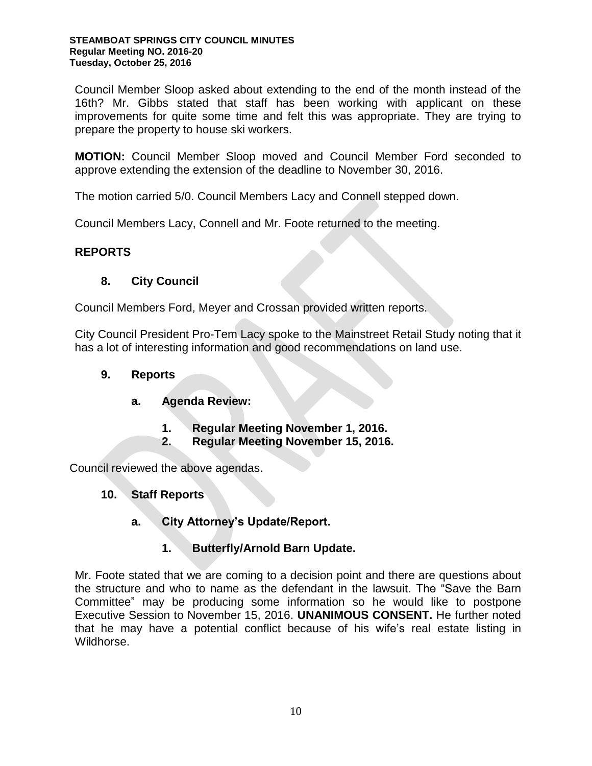Council Member Sloop asked about extending to the end of the month instead of the 16th? Mr. Gibbs stated that staff has been working with applicant on these improvements for quite some time and felt this was appropriate. They are trying to prepare the property to house ski workers.

**MOTION:** Council Member Sloop moved and Council Member Ford seconded to approve extending the extension of the deadline to November 30, 2016.

The motion carried 5/0. Council Members Lacy and Connell stepped down.

Council Members Lacy, Connell and Mr. Foote returned to the meeting.

# **REPORTS**

# **8. City Council**

Council Members Ford, Meyer and Crossan provided written reports.

City Council President Pro-Tem Lacy spoke to the Mainstreet Retail Study noting that it has a lot of interesting information and good recommendations on land use.

# **9. Reports**

- **a. Agenda Review:** 
	- **1. Regular Meeting November 1, 2016.**
	- **2. Regular Meeting November 15, 2016.**

Council reviewed the above agendas.

- **10. Staff Reports** 
	- **a. City Attorney's Update/Report.** 
		- **1. Butterfly/Arnold Barn Update.**

Mr. Foote stated that we are coming to a decision point and there are questions about the structure and who to name as the defendant in the lawsuit. The "Save the Barn Committee" may be producing some information so he would like to postpone Executive Session to November 15, 2016. **UNANIMOUS CONSENT.** He further noted that he may have a potential conflict because of his wife's real estate listing in Wildhorse.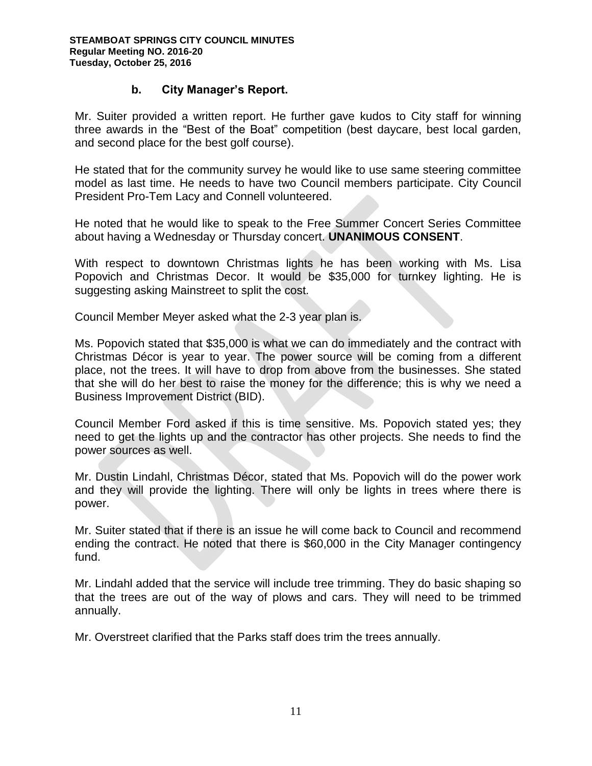# **b. City Manager's Report.**

Mr. Suiter provided a written report. He further gave kudos to City staff for winning three awards in the "Best of the Boat" competition (best daycare, best local garden, and second place for the best golf course).

He stated that for the community survey he would like to use same steering committee model as last time. He needs to have two Council members participate. City Council President Pro-Tem Lacy and Connell volunteered.

He noted that he would like to speak to the Free Summer Concert Series Committee about having a Wednesday or Thursday concert. **UNANIMOUS CONSENT**.

With respect to downtown Christmas lights he has been working with Ms. Lisa Popovich and Christmas Decor. It would be \$35,000 for turnkey lighting. He is suggesting asking Mainstreet to split the cost.

Council Member Meyer asked what the 2-3 year plan is.

Ms. Popovich stated that \$35,000 is what we can do immediately and the contract with Christmas Décor is year to year. The power source will be coming from a different place, not the trees. It will have to drop from above from the businesses. She stated that she will do her best to raise the money for the difference; this is why we need a Business Improvement District (BID).

Council Member Ford asked if this is time sensitive. Ms. Popovich stated yes; they need to get the lights up and the contractor has other projects. She needs to find the power sources as well.

Mr. Dustin Lindahl, Christmas Décor, stated that Ms. Popovich will do the power work and they will provide the lighting. There will only be lights in trees where there is power.

Mr. Suiter stated that if there is an issue he will come back to Council and recommend ending the contract. He noted that there is \$60,000 in the City Manager contingency fund.

Mr. Lindahl added that the service will include tree trimming. They do basic shaping so that the trees are out of the way of plows and cars. They will need to be trimmed annually.

Mr. Overstreet clarified that the Parks staff does trim the trees annually.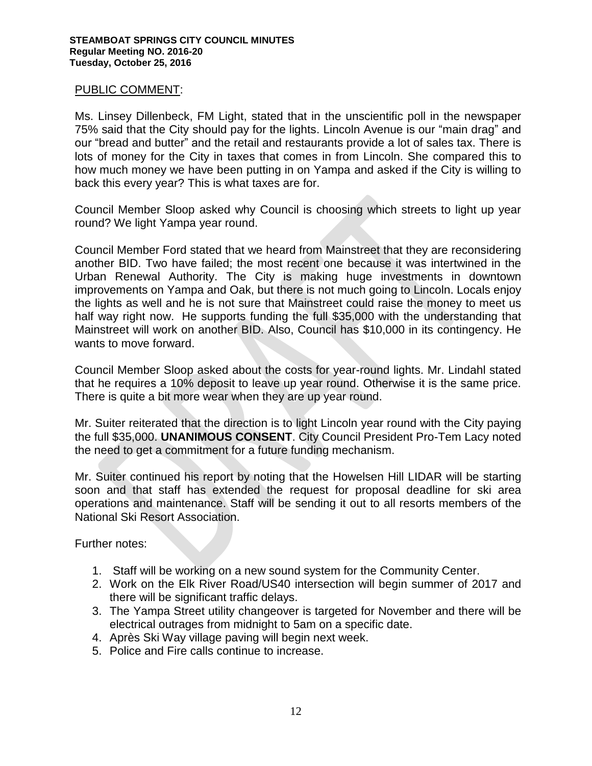#### PUBLIC COMMENT:

Ms. Linsey Dillenbeck, FM Light, stated that in the unscientific poll in the newspaper 75% said that the City should pay for the lights. Lincoln Avenue is our "main drag" and our "bread and butter" and the retail and restaurants provide a lot of sales tax. There is lots of money for the City in taxes that comes in from Lincoln. She compared this to how much money we have been putting in on Yampa and asked if the City is willing to back this every year? This is what taxes are for.

Council Member Sloop asked why Council is choosing which streets to light up year round? We light Yampa year round.

Council Member Ford stated that we heard from Mainstreet that they are reconsidering another BID. Two have failed; the most recent one because it was intertwined in the Urban Renewal Authority. The City is making huge investments in downtown improvements on Yampa and Oak, but there is not much going to Lincoln. Locals enjoy the lights as well and he is not sure that Mainstreet could raise the money to meet us half way right now. He supports funding the full \$35,000 with the understanding that Mainstreet will work on another BID. Also, Council has \$10,000 in its contingency. He wants to move forward.

Council Member Sloop asked about the costs for year-round lights. Mr. Lindahl stated that he requires a 10% deposit to leave up year round. Otherwise it is the same price. There is quite a bit more wear when they are up year round.

Mr. Suiter reiterated that the direction is to light Lincoln year round with the City paying the full \$35,000. **UNANIMOUS CONSENT**. City Council President Pro-Tem Lacy noted the need to get a commitment for a future funding mechanism.

Mr. Suiter continued his report by noting that the Howelsen Hill LIDAR will be starting soon and that staff has extended the request for proposal deadline for ski area operations and maintenance. Staff will be sending it out to all resorts members of the National Ski Resort Association.

Further notes:

- 1. Staff will be working on a new sound system for the Community Center.
- 2. Work on the Elk River Road/US40 intersection will begin summer of 2017 and there will be significant traffic delays.
- 3. The Yampa Street utility changeover is targeted for November and there will be electrical outrages from midnight to 5am on a specific date.
- 4. Après Ski Way village paving will begin next week.
- 5. Police and Fire calls continue to increase.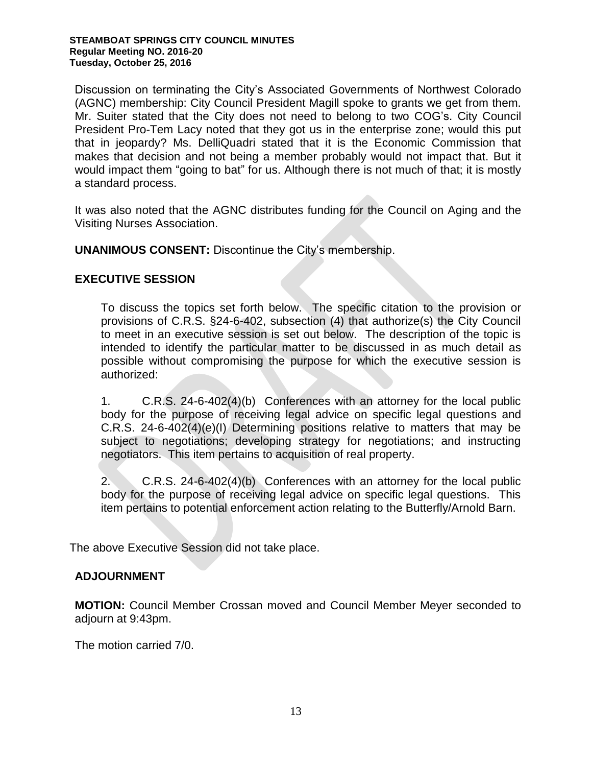Discussion on terminating the City's Associated Governments of Northwest Colorado (AGNC) membership: City Council President Magill spoke to grants we get from them. Mr. Suiter stated that the City does not need to belong to two COG's. City Council President Pro-Tem Lacy noted that they got us in the enterprise zone; would this put that in jeopardy? Ms. DelliQuadri stated that it is the Economic Commission that makes that decision and not being a member probably would not impact that. But it would impact them "going to bat" for us. Although there is not much of that; it is mostly a standard process.

It was also noted that the AGNC distributes funding for the Council on Aging and the Visiting Nurses Association.

**UNANIMOUS CONSENT:** Discontinue the City's membership.

# **EXECUTIVE SESSION**

To discuss the topics set forth below. The specific citation to the provision or provisions of C.R.S. §24-6-402, subsection (4) that authorize(s) the City Council to meet in an executive session is set out below. The description of the topic is intended to identify the particular matter to be discussed in as much detail as possible without compromising the purpose for which the executive session is authorized:

1. C.R.S. 24-6-402(4)(b) Conferences with an attorney for the local public body for the purpose of receiving legal advice on specific legal questions and C.R.S. 24-6-402(4)(e)(I) Determining positions relative to matters that may be subject to negotiations; developing strategy for negotiations; and instructing negotiators. This item pertains to acquisition of real property.

2. C.R.S. 24-6-402(4)(b) Conferences with an attorney for the local public body for the purpose of receiving legal advice on specific legal questions. This item pertains to potential enforcement action relating to the Butterfly/Arnold Barn.

The above Executive Session did not take place.

## **ADJOURNMENT**

**MOTION:** Council Member Crossan moved and Council Member Meyer seconded to adjourn at 9:43pm.

The motion carried 7/0.